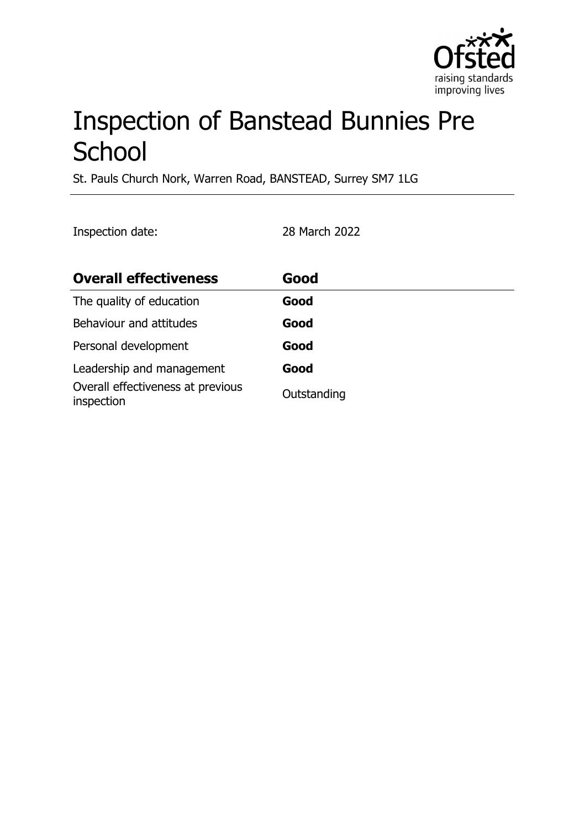

# Inspection of Banstead Bunnies Pre **School**

St. Pauls Church Nork, Warren Road, BANSTEAD, Surrey SM7 1LG

Inspection date: 28 March 2022

| <b>Overall effectiveness</b>                    | Good        |
|-------------------------------------------------|-------------|
| The quality of education                        | Good        |
| Behaviour and attitudes                         | Good        |
| Personal development                            | Good        |
| Leadership and management                       | Good        |
| Overall effectiveness at previous<br>inspection | Outstanding |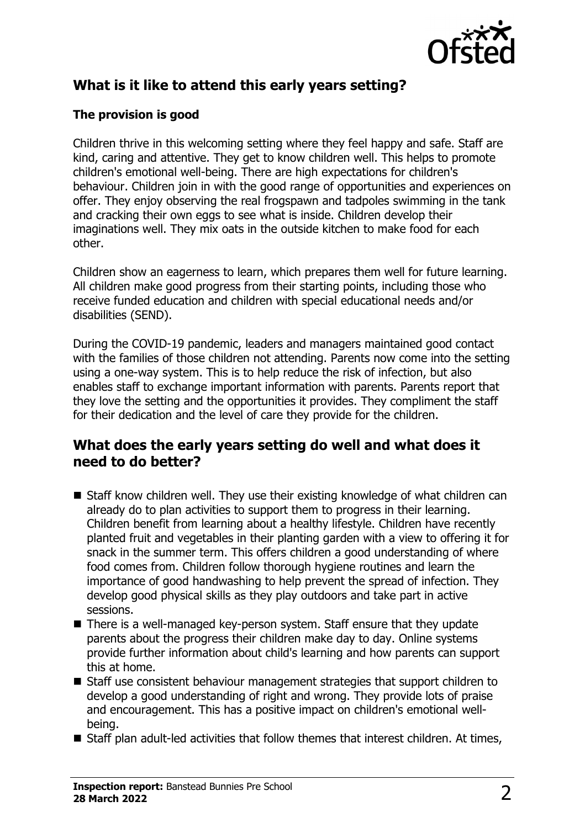

# **What is it like to attend this early years setting?**

## **The provision is good**

Children thrive in this welcoming setting where they feel happy and safe. Staff are kind, caring and attentive. They get to know children well. This helps to promote children's emotional well-being. There are high expectations for children's behaviour. Children join in with the good range of opportunities and experiences on offer. They enjoy observing the real frogspawn and tadpoles swimming in the tank and cracking their own eggs to see what is inside. Children develop their imaginations well. They mix oats in the outside kitchen to make food for each other.

Children show an eagerness to learn, which prepares them well for future learning. All children make good progress from their starting points, including those who receive funded education and children with special educational needs and/or disabilities (SEND).

During the COVID-19 pandemic, leaders and managers maintained good contact with the families of those children not attending. Parents now come into the setting using a one-way system. This is to help reduce the risk of infection, but also enables staff to exchange important information with parents. Parents report that they love the setting and the opportunities it provides. They compliment the staff for their dedication and the level of care they provide for the children.

## **What does the early years setting do well and what does it need to do better?**

- $\blacksquare$  Staff know children well. They use their existing knowledge of what children can already do to plan activities to support them to progress in their learning. Children benefit from learning about a healthy lifestyle. Children have recently planted fruit and vegetables in their planting garden with a view to offering it for snack in the summer term. This offers children a good understanding of where food comes from. Children follow thorough hygiene routines and learn the importance of good handwashing to help prevent the spread of infection. They develop good physical skills as they play outdoors and take part in active sessions.
- There is a well-managed key-person system. Staff ensure that they update parents about the progress their children make day to day. Online systems provide further information about child's learning and how parents can support this at home.
- $\blacksquare$  Staff use consistent behaviour management strategies that support children to develop a good understanding of right and wrong. They provide lots of praise and encouragement. This has a positive impact on children's emotional wellbeing.
- $\blacksquare$  Staff plan adult-led activities that follow themes that interest children. At times,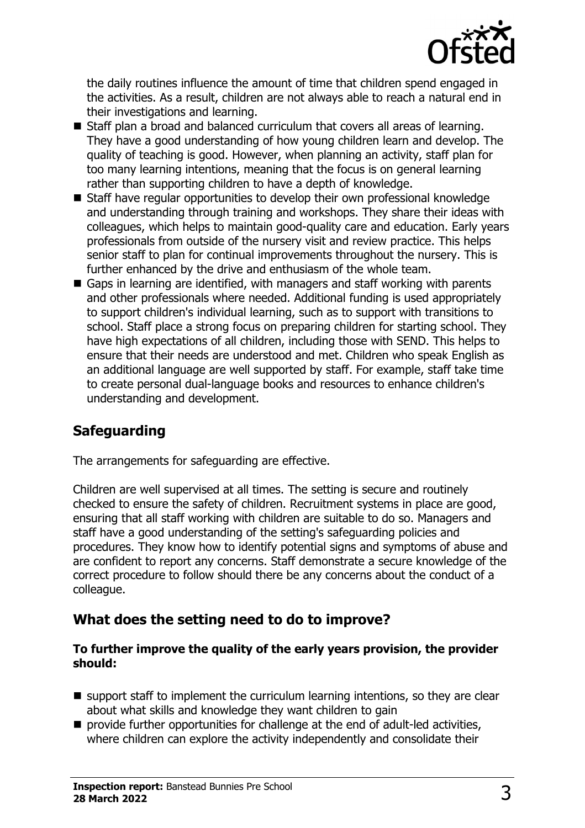

the daily routines influence the amount of time that children spend engaged in the activities. As a result, children are not always able to reach a natural end in their investigations and learning.

- $\blacksquare$  Staff plan a broad and balanced curriculum that covers all areas of learning. They have a good understanding of how young children learn and develop. The quality of teaching is good. However, when planning an activity, staff plan for too many learning intentions, meaning that the focus is on general learning rather than supporting children to have a depth of knowledge.
- $\blacksquare$  Staff have regular opportunities to develop their own professional knowledge and understanding through training and workshops. They share their ideas with colleagues, which helps to maintain good-quality care and education. Early years professionals from outside of the nursery visit and review practice. This helps senior staff to plan for continual improvements throughout the nursery. This is further enhanced by the drive and enthusiasm of the whole team.
- Gaps in learning are identified, with managers and staff working with parents and other professionals where needed. Additional funding is used appropriately to support children's individual learning, such as to support with transitions to school. Staff place a strong focus on preparing children for starting school. They have high expectations of all children, including those with SEND. This helps to ensure that their needs are understood and met. Children who speak English as an additional language are well supported by staff. For example, staff take time to create personal dual-language books and resources to enhance children's understanding and development.

## **Safeguarding**

The arrangements for safeguarding are effective.

Children are well supervised at all times. The setting is secure and routinely checked to ensure the safety of children. Recruitment systems in place are good, ensuring that all staff working with children are suitable to do so. Managers and staff have a good understanding of the setting's safeguarding policies and procedures. They know how to identify potential signs and symptoms of abuse and are confident to report any concerns. Staff demonstrate a secure knowledge of the correct procedure to follow should there be any concerns about the conduct of a colleague.

## **What does the setting need to do to improve?**

#### **To further improve the quality of the early years provision, the provider should:**

- $\blacksquare$  support staff to implement the curriculum learning intentions, so they are clear about what skills and knowledge they want children to gain
- $\blacksquare$  provide further opportunities for challenge at the end of adult-led activities, where children can explore the activity independently and consolidate their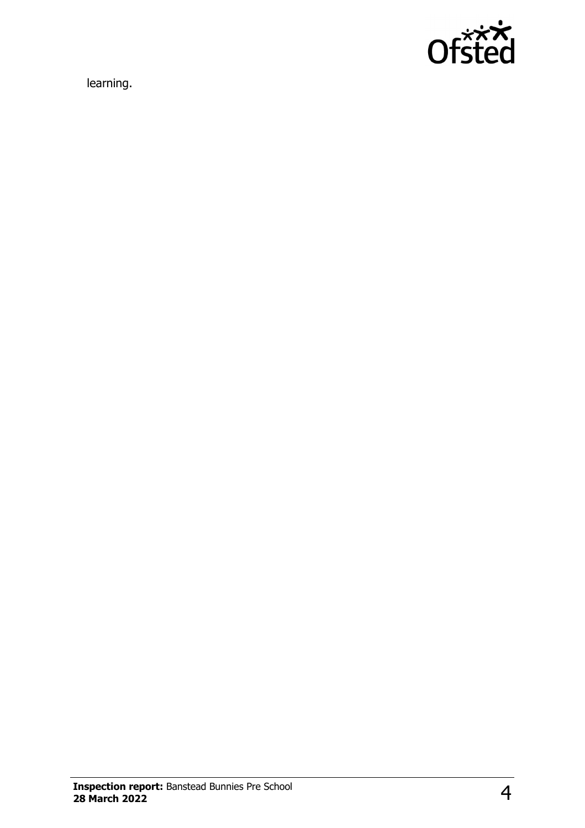

learning.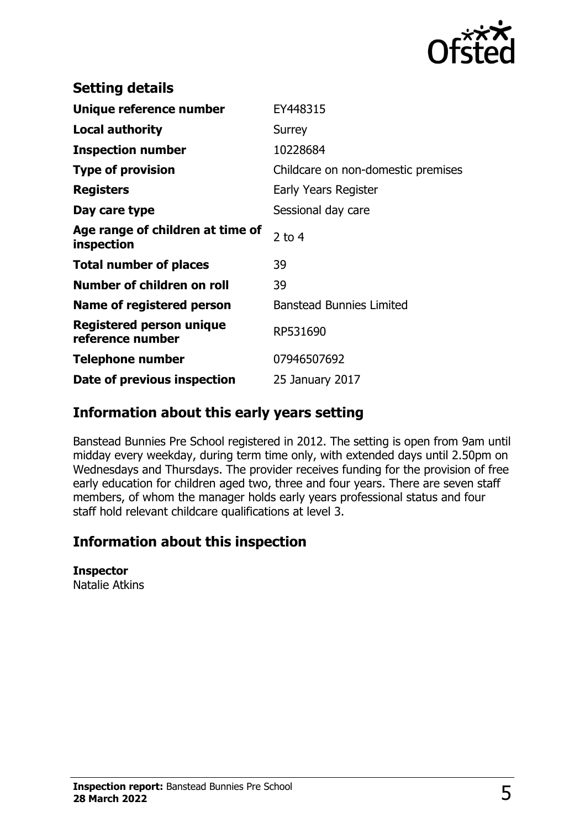

| EY448315                           |
|------------------------------------|
| Surrey                             |
| 10228684                           |
| Childcare on non-domestic premises |
| Early Years Register               |
| Sessional day care                 |
| $2$ to 4                           |
| 39                                 |
| 39                                 |
| <b>Banstead Bunnies Limited</b>    |
| RP531690                           |
| 07946507692                        |
| 25 January 2017                    |
|                                    |

## **Information about this early years setting**

Banstead Bunnies Pre School registered in 2012. The setting is open from 9am until midday every weekday, during term time only, with extended days until 2.50pm on Wednesdays and Thursdays. The provider receives funding for the provision of free early education for children aged two, three and four years. There are seven staff members, of whom the manager holds early years professional status and four staff hold relevant childcare qualifications at level 3.

## **Information about this inspection**

#### **Inspector**

Natalie Atkins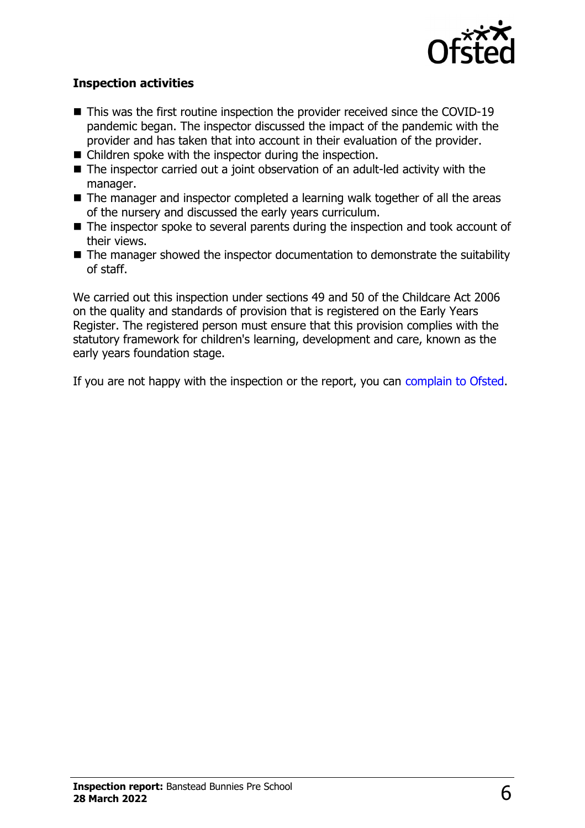

### **Inspection activities**

- $\blacksquare$  This was the first routine inspection the provider received since the COVID-19 pandemic began. The inspector discussed the impact of the pandemic with the provider and has taken that into account in their evaluation of the provider.
- $\blacksquare$  Children spoke with the inspector during the inspection.
- $\blacksquare$  The inspector carried out a joint observation of an adult-led activity with the manager.
- $\blacksquare$  The manager and inspector completed a learning walk together of all the areas of the nursery and discussed the early years curriculum.
- $\blacksquare$  The inspector spoke to several parents during the inspection and took account of their views.
- $\blacksquare$  The manager showed the inspector documentation to demonstrate the suitability of staff.

We carried out this inspection under sections 49 and 50 of the Childcare Act 2006 on the quality and standards of provision that is registered on the Early Years Register. The registered person must ensure that this provision complies with the statutory framework for children's learning, development and care, known as the early years foundation stage.

If you are not happy with the inspection or the report, you can [complain to Ofsted](http://www.gov.uk/complain-ofsted-report).